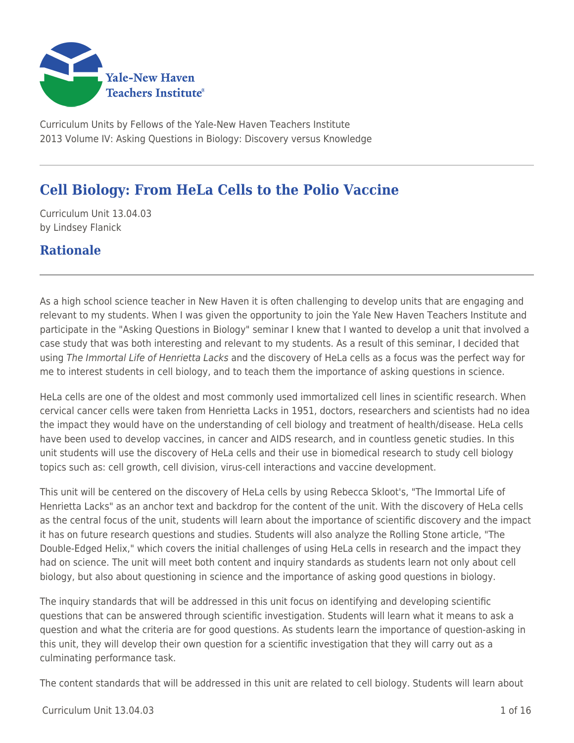

Curriculum Units by Fellows of the Yale-New Haven Teachers Institute 2013 Volume IV: Asking Questions in Biology: Discovery versus Knowledge

# **Cell Biology: From HeLa Cells to the Polio Vaccine**

Curriculum Unit 13.04.03 by Lindsey Flanick

### **Rationale**

As a high school science teacher in New Haven it is often challenging to develop units that are engaging and relevant to my students. When I was given the opportunity to join the Yale New Haven Teachers Institute and participate in the "Asking Questions in Biology" seminar I knew that I wanted to develop a unit that involved a case study that was both interesting and relevant to my students. As a result of this seminar, I decided that using The Immortal Life of Henrietta Lacks and the discovery of HeLa cells as a focus was the perfect way for me to interest students in cell biology, and to teach them the importance of asking questions in science.

HeLa cells are one of the oldest and most commonly used immortalized cell lines in scientific research. When cervical cancer cells were taken from Henrietta Lacks in 1951, doctors, researchers and scientists had no idea the impact they would have on the understanding of cell biology and treatment of health/disease. HeLa cells have been used to develop vaccines, in cancer and AIDS research, and in countless genetic studies. In this unit students will use the discovery of HeLa cells and their use in biomedical research to study cell biology topics such as: cell growth, cell division, virus-cell interactions and vaccine development.

This unit will be centered on the discovery of HeLa cells by using Rebecca Skloot's, "The Immortal Life of Henrietta Lacks" as an anchor text and backdrop for the content of the unit. With the discovery of HeLa cells as the central focus of the unit, students will learn about the importance of scientific discovery and the impact it has on future research questions and studies. Students will also analyze the Rolling Stone article, "The Double-Edged Helix," which covers the initial challenges of using HeLa cells in research and the impact they had on science. The unit will meet both content and inquiry standards as students learn not only about cell biology, but also about questioning in science and the importance of asking good questions in biology.

The inquiry standards that will be addressed in this unit focus on identifying and developing scientific questions that can be answered through scientific investigation. Students will learn what it means to ask a question and what the criteria are for good questions. As students learn the importance of question-asking in this unit, they will develop their own question for a scientific investigation that they will carry out as a culminating performance task.

The content standards that will be addressed in this unit are related to cell biology. Students will learn about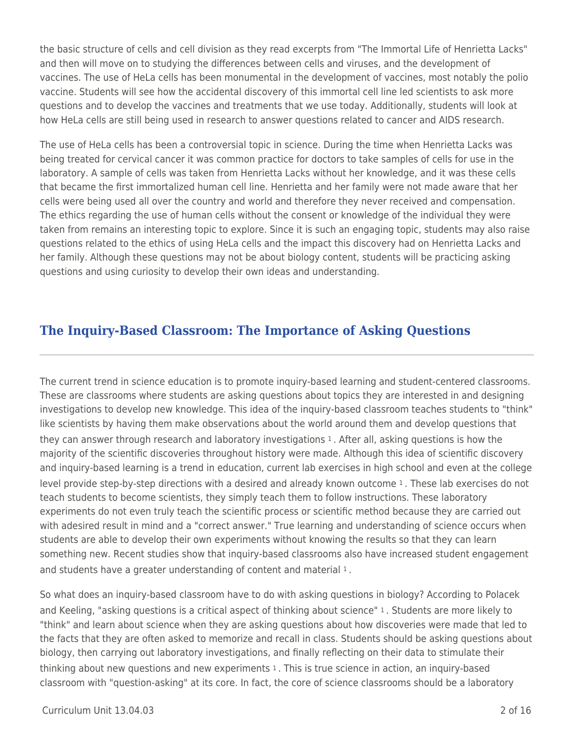the basic structure of cells and cell division as they read excerpts from "The Immortal Life of Henrietta Lacks" and then will move on to studying the differences between cells and viruses, and the development of vaccines. The use of HeLa cells has been monumental in the development of vaccines, most notably the polio vaccine. Students will see how the accidental discovery of this immortal cell line led scientists to ask more questions and to develop the vaccines and treatments that we use today. Additionally, students will look at how HeLa cells are still being used in research to answer questions related to cancer and AIDS research.

The use of HeLa cells has been a controversial topic in science. During the time when Henrietta Lacks was being treated for cervical cancer it was common practice for doctors to take samples of cells for use in the laboratory. A sample of cells was taken from Henrietta Lacks without her knowledge, and it was these cells that became the first immortalized human cell line. Henrietta and her family were not made aware that her cells were being used all over the country and world and therefore they never received and compensation. The ethics regarding the use of human cells without the consent or knowledge of the individual they were taken from remains an interesting topic to explore. Since it is such an engaging topic, students may also raise questions related to the ethics of using HeLa cells and the impact this discovery had on Henrietta Lacks and her family. Although these questions may not be about biology content, students will be practicing asking questions and using curiosity to develop their own ideas and understanding.

## **The Inquiry-Based Classroom: The Importance of Asking Questions**

The current trend in science education is to promote inquiry-based learning and student-centered classrooms. These are classrooms where students are asking questions about topics they are interested in and designing investigations to develop new knowledge. This idea of the inquiry-based classroom teaches students to "think" like scientists by having them make observations about the world around them and develop questions that they can answer through research and laboratory investigations 1 . After all, asking questions is how the majority of the scientific discoveries throughout history were made. Although this idea of scientific discovery and inquiry-based learning is a trend in education, current lab exercises in high school and even at the college level provide step-by-step directions with a desired and already known outcome 1 . These lab exercises do not teach students to become scientists, they simply teach them to follow instructions. These laboratory experiments do not even truly teach the scientific process or scientific method because they are carried out with adesired result in mind and a "correct answer." True learning and understanding of science occurs when students are able to develop their own experiments without knowing the results so that they can learn something new. Recent studies show that inquiry-based classrooms also have increased student engagement and students have a greater understanding of content and material 1.

So what does an inquiry-based classroom have to do with asking questions in biology? According to Polacek and Keeling, "asking questions is a critical aspect of thinking about science" 1 . Students are more likely to "think" and learn about science when they are asking questions about how discoveries were made that led to the facts that they are often asked to memorize and recall in class. Students should be asking questions about biology, then carrying out laboratory investigations, and finally reflecting on their data to stimulate their thinking about new questions and new experiments 1. This is true science in action, an inquiry-based classroom with "question-asking" at its core. In fact, the core of science classrooms should be a laboratory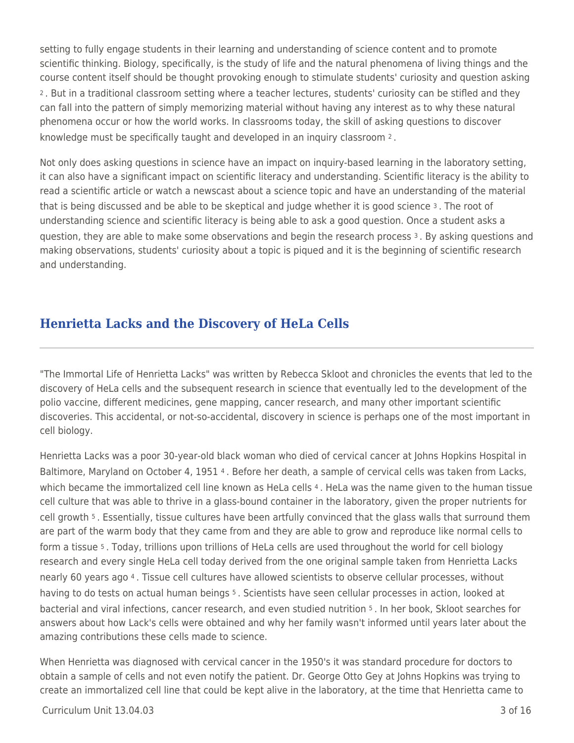setting to fully engage students in their learning and understanding of science content and to promote scientific thinking. Biology, specifically, is the study of life and the natural phenomena of living things and the course content itself should be thought provoking enough to stimulate students' curiosity and question asking <sup>2</sup>. But in a traditional classroom setting where a teacher lectures, students' curiosity can be stifled and they can fall into the pattern of simply memorizing material without having any interest as to why these natural phenomena occur or how the world works. In classrooms today, the skill of asking questions to discover knowledge must be specifically taught and developed in an inquiry classroom 2 .

Not only does asking questions in science have an impact on inquiry-based learning in the laboratory setting, it can also have a significant impact on scientific literacy and understanding. Scientific literacy is the ability to read a scientific article or watch a newscast about a science topic and have an understanding of the material that is being discussed and be able to be skeptical and judge whether it is good science 3. The root of understanding science and scientific literacy is being able to ask a good question. Once a student asks a question, they are able to make some observations and begin the research process 3. By asking questions and making observations, students' curiosity about a topic is piqued and it is the beginning of scientific research and understanding.

## **Henrietta Lacks and the Discovery of HeLa Cells**

"The Immortal Life of Henrietta Lacks" was written by Rebecca Skloot and chronicles the events that led to the discovery of HeLa cells and the subsequent research in science that eventually led to the development of the polio vaccine, different medicines, gene mapping, cancer research, and many other important scientific discoveries. This accidental, or not-so-accidental, discovery in science is perhaps one of the most important in cell biology.

Henrietta Lacks was a poor 30-year-old black woman who died of cervical cancer at Johns Hopkins Hospital in Baltimore, Maryland on October 4, 1951 4 . Before her death, a sample of cervical cells was taken from Lacks, which became the immortalized cell line known as HeLa cells 4. HeLa was the name given to the human tissue cell culture that was able to thrive in a glass-bound container in the laboratory, given the proper nutrients for cell growth 5 . Essentially, tissue cultures have been artfully convinced that the glass walls that surround them are part of the warm body that they came from and they are able to grow and reproduce like normal cells to form a tissue 5 . Today, trillions upon trillions of HeLa cells are used throughout the world for cell biology research and every single HeLa cell today derived from the one original sample taken from Henrietta Lacks nearly 60 years ago 4 . Tissue cell cultures have allowed scientists to observe cellular processes, without having to do tests on actual human beings <sup>5</sup>. Scientists have seen cellular processes in action, looked at bacterial and viral infections, cancer research, and even studied nutrition 5 . In her book, Skloot searches for answers about how Lack's cells were obtained and why her family wasn't informed until years later about the amazing contributions these cells made to science.

When Henrietta was diagnosed with cervical cancer in the 1950's it was standard procedure for doctors to obtain a sample of cells and not even notify the patient. Dr. George Otto Gey at Johns Hopkins was trying to create an immortalized cell line that could be kept alive in the laboratory, at the time that Henrietta came to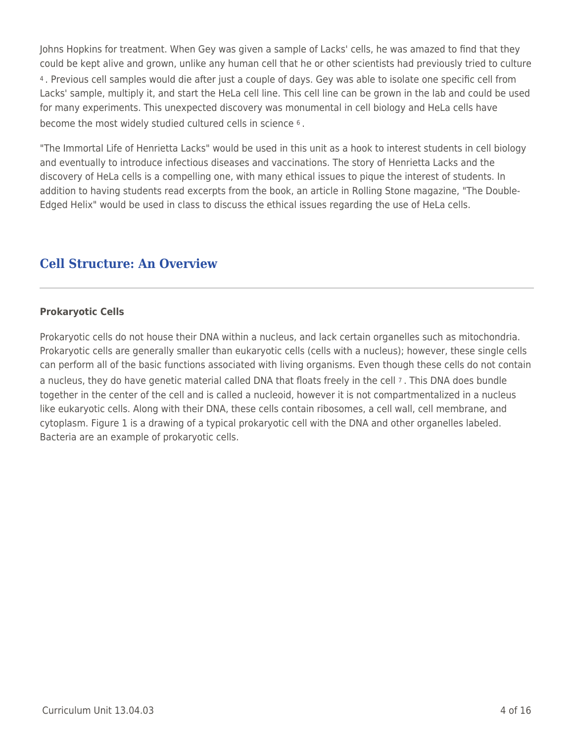Johns Hopkins for treatment. When Gey was given a sample of Lacks' cells, he was amazed to find that they could be kept alive and grown, unlike any human cell that he or other scientists had previously tried to culture <sup>4</sup>. Previous cell samples would die after just a couple of days. Gey was able to isolate one specific cell from Lacks' sample, multiply it, and start the HeLa cell line. This cell line can be grown in the lab and could be used for many experiments. This unexpected discovery was monumental in cell biology and HeLa cells have become the most widely studied cultured cells in science 6 .

"The Immortal Life of Henrietta Lacks" would be used in this unit as a hook to interest students in cell biology and eventually to introduce infectious diseases and vaccinations. The story of Henrietta Lacks and the discovery of HeLa cells is a compelling one, with many ethical issues to pique the interest of students. In addition to having students read excerpts from the book, an article in Rolling Stone magazine, "The Double-Edged Helix" would be used in class to discuss the ethical issues regarding the use of HeLa cells.

## **Cell Structure: An Overview**

### **Prokaryotic Cells**

Prokaryotic cells do not house their DNA within a nucleus, and lack certain organelles such as mitochondria. Prokaryotic cells are generally smaller than eukaryotic cells (cells with a nucleus); however, these single cells can perform all of the basic functions associated with living organisms. Even though these cells do not contain a nucleus, they do have genetic material called DNA that floats freely in the cell 7 . This DNA does bundle together in the center of the cell and is called a nucleoid, however it is not compartmentalized in a nucleus like eukaryotic cells. Along with their DNA, these cells contain ribosomes, a cell wall, cell membrane, and cytoplasm. Figure 1 is a drawing of a typical prokaryotic cell with the DNA and other organelles labeled. Bacteria are an example of prokaryotic cells.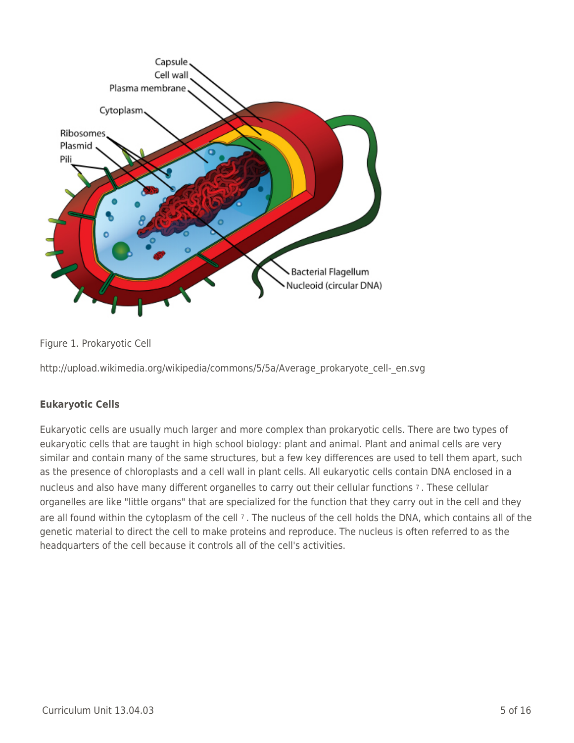

Figure 1. Prokaryotic Cell

http://upload.wikimedia.org/wikipedia/commons/5/5a/Average\_prokaryote\_cell-\_en.svg

### **Eukaryotic Cells**

Eukaryotic cells are usually much larger and more complex than prokaryotic cells. There are two types of eukaryotic cells that are taught in high school biology: plant and animal. Plant and animal cells are very similar and contain many of the same structures, but a few key differences are used to tell them apart, such as the presence of chloroplasts and a cell wall in plant cells. All eukaryotic cells contain DNA enclosed in a nucleus and also have many different organelles to carry out their cellular functions 7 . These cellular organelles are like "little organs" that are specialized for the function that they carry out in the cell and they are all found within the cytoplasm of the cell 7. The nucleus of the cell holds the DNA, which contains all of the genetic material to direct the cell to make proteins and reproduce. The nucleus is often referred to as the headquarters of the cell because it controls all of the cell's activities.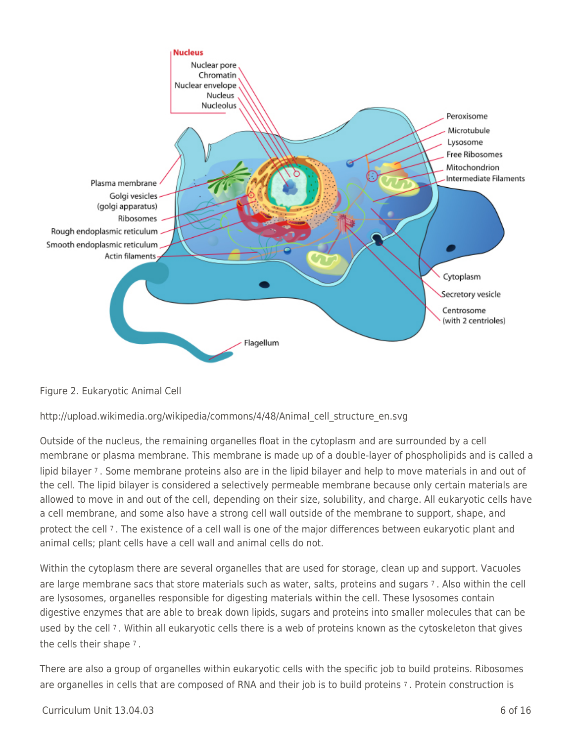

Figure 2. Eukaryotic Animal Cell

### http://upload.wikimedia.org/wikipedia/commons/4/48/Animal\_cell\_structure\_en.svg

Outside of the nucleus, the remaining organelles float in the cytoplasm and are surrounded by a cell membrane or plasma membrane. This membrane is made up of a double-layer of phospholipids and is called a lipid bilayer 7 . Some membrane proteins also are in the lipid bilayer and help to move materials in and out of the cell. The lipid bilayer is considered a selectively permeable membrane because only certain materials are allowed to move in and out of the cell, depending on their size, solubility, and charge. All eukaryotic cells have a cell membrane, and some also have a strong cell wall outside of the membrane to support, shape, and protect the cell 7 . The existence of a cell wall is one of the major differences between eukaryotic plant and animal cells; plant cells have a cell wall and animal cells do not.

Within the cytoplasm there are several organelles that are used for storage, clean up and support. Vacuoles are large membrane sacs that store materials such as water, salts, proteins and sugars 7 . Also within the cell are lysosomes, organelles responsible for digesting materials within the cell. These lysosomes contain digestive enzymes that are able to break down lipids, sugars and proteins into smaller molecules that can be used by the cell 7 . Within all eukaryotic cells there is a web of proteins known as the cytoskeleton that gives the cells their shape 7 .

There are also a group of organelles within eukaryotic cells with the specific job to build proteins. Ribosomes are organelles in cells that are composed of RNA and their job is to build proteins 7. Protein construction is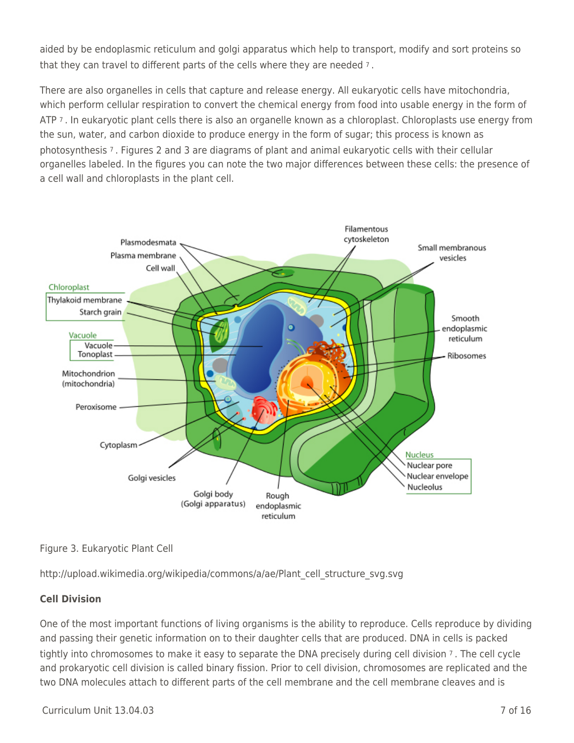aided by be endoplasmic reticulum and golgi apparatus which help to transport, modify and sort proteins so that they can travel to different parts of the cells where they are needed 7 .

There are also organelles in cells that capture and release energy. All eukaryotic cells have mitochondria, which perform cellular respiration to convert the chemical energy from food into usable energy in the form of ATP 7. In eukaryotic plant cells there is also an organelle known as a chloroplast. Chloroplasts use energy from the sun, water, and carbon dioxide to produce energy in the form of sugar; this process is known as photosynthesis 7 . Figures 2 and 3 are diagrams of plant and animal eukaryotic cells with their cellular organelles labeled. In the figures you can note the two major differences between these cells: the presence of a cell wall and chloroplasts in the plant cell.



Figure 3. Eukaryotic Plant Cell

http://upload.wikimedia.org/wikipedia/commons/a/ae/Plant\_cell\_structure\_svg.svg

### **Cell Division**

One of the most important functions of living organisms is the ability to reproduce. Cells reproduce by dividing and passing their genetic information on to their daughter cells that are produced. DNA in cells is packed tightly into chromosomes to make it easy to separate the DNA precisely during cell division 7 . The cell cycle and prokaryotic cell division is called binary fission. Prior to cell division, chromosomes are replicated and the two DNA molecules attach to different parts of the cell membrane and the cell membrane cleaves and is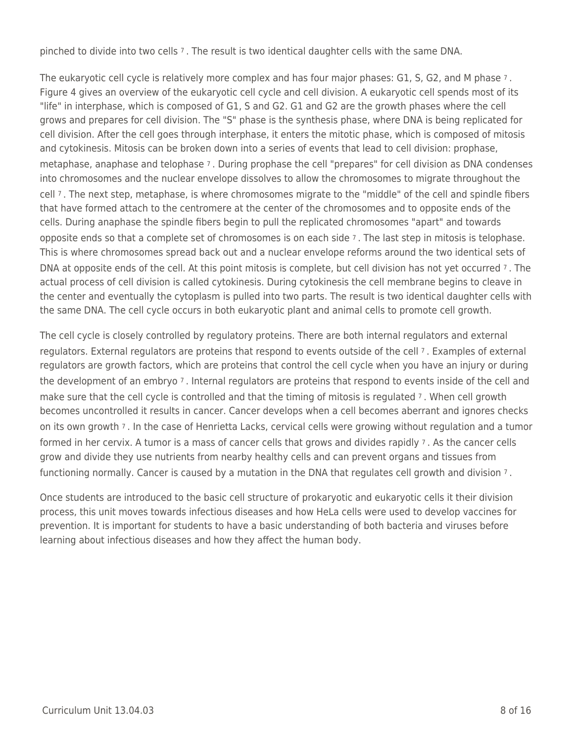pinched to divide into two cells 7 . The result is two identical daughter cells with the same DNA.

The eukaryotic cell cycle is relatively more complex and has four major phases: G1, S, G2, and M phase 7. Figure 4 gives an overview of the eukaryotic cell cycle and cell division. A eukaryotic cell spends most of its "life" in interphase, which is composed of G1, S and G2. G1 and G2 are the growth phases where the cell grows and prepares for cell division. The "S" phase is the synthesis phase, where DNA is being replicated for cell division. After the cell goes through interphase, it enters the mitotic phase, which is composed of mitosis and cytokinesis. Mitosis can be broken down into a series of events that lead to cell division: prophase, metaphase, anaphase and telophase 7 . During prophase the cell "prepares" for cell division as DNA condenses into chromosomes and the nuclear envelope dissolves to allow the chromosomes to migrate throughout the cell 7 . The next step, metaphase, is where chromosomes migrate to the "middle" of the cell and spindle fibers that have formed attach to the centromere at the center of the chromosomes and to opposite ends of the cells. During anaphase the spindle fibers begin to pull the replicated chromosomes "apart" and towards opposite ends so that a complete set of chromosomes is on each side 7 . The last step in mitosis is telophase. This is where chromosomes spread back out and a nuclear envelope reforms around the two identical sets of DNA at opposite ends of the cell. At this point mitosis is complete, but cell division has not yet occurred 7 . The actual process of cell division is called cytokinesis. During cytokinesis the cell membrane begins to cleave in the center and eventually the cytoplasm is pulled into two parts. The result is two identical daughter cells with the same DNA. The cell cycle occurs in both eukaryotic plant and animal cells to promote cell growth.

The cell cycle is closely controlled by regulatory proteins. There are both internal regulators and external regulators. External regulators are proteins that respond to events outside of the cell 7 . Examples of external regulators are growth factors, which are proteins that control the cell cycle when you have an injury or during the development of an embryo 7. Internal regulators are proteins that respond to events inside of the cell and make sure that the cell cycle is controlled and that the timing of mitosis is regulated 7 . When cell growth becomes uncontrolled it results in cancer. Cancer develops when a cell becomes aberrant and ignores checks on its own growth 7 . In the case of Henrietta Lacks, cervical cells were growing without regulation and a tumor formed in her cervix. A tumor is a mass of cancer cells that grows and divides rapidly 7 . As the cancer cells grow and divide they use nutrients from nearby healthy cells and can prevent organs and tissues from functioning normally. Cancer is caused by a mutation in the DNA that regulates cell growth and division 7 .

Once students are introduced to the basic cell structure of prokaryotic and eukaryotic cells it their division process, this unit moves towards infectious diseases and how HeLa cells were used to develop vaccines for prevention. It is important for students to have a basic understanding of both bacteria and viruses before learning about infectious diseases and how they affect the human body.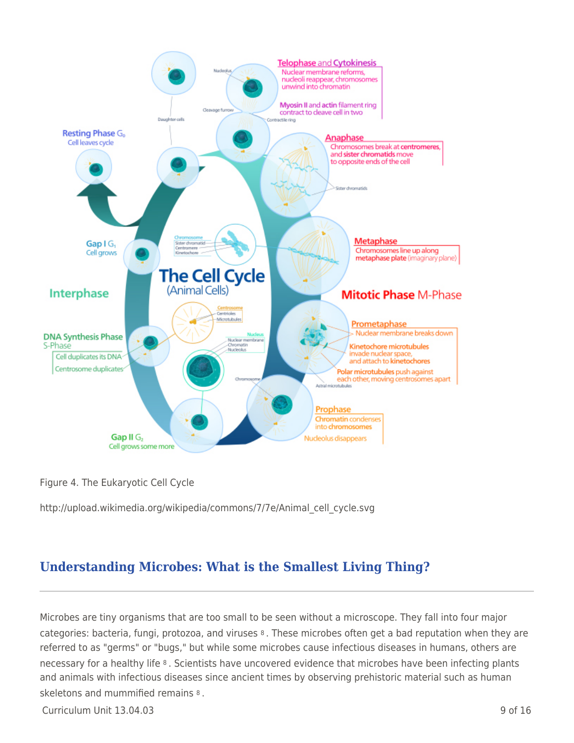

Figure 4. The Eukaryotic Cell Cycle

http://upload.wikimedia.org/wikipedia/commons/7/7e/Animal\_cell\_cycle.svg

# **Understanding Microbes: What is the Smallest Living Thing?**

Microbes are tiny organisms that are too small to be seen without a microscope. They fall into four major categories: bacteria, fungi, protozoa, and viruses 8 . These microbes often get a bad reputation when they are referred to as "germs" or "bugs," but while some microbes cause infectious diseases in humans, others are necessary for a healthy life 8 . Scientists have uncovered evidence that microbes have been infecting plants and animals with infectious diseases since ancient times by observing prehistoric material such as human skeletons and mummified remains 8 .

Curriculum Unit 13.04.03 9 of 16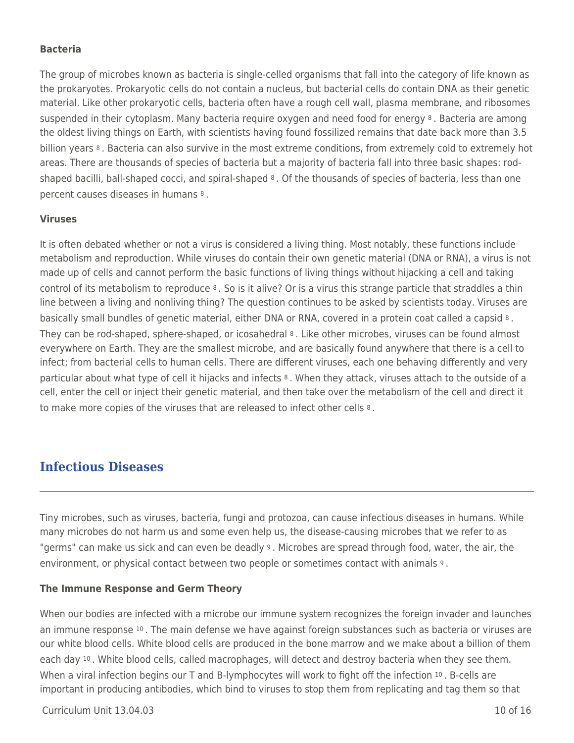### **Bacteria**

The group of microbes known as bacteria is single-celled organisms that fall into the category of life known as the prokaryotes. Prokaryotic cells do not contain a nucleus, but bacterial cells do contain DNA as their genetic material. Like other prokaryotic cells, bacteria often have a rough cell wall, plasma membrane, and ribosomes suspended in their cytoplasm. Many bacteria require oxygen and need food for energy 8. Bacteria are among the oldest living things on Earth, with scientists having found fossilized remains that date back more than 3.5 billion years 8. Bacteria can also survive in the most extreme conditions, from extremely cold to extremely hot areas. There are thousands of species of bacteria but a majority of bacteria fall into three basic shapes: rodshaped bacilli, ball-shaped cocci, and spiral-shaped 8 . Of the thousands of species of bacteria, less than one percent causes diseases in humans 8 .

#### **Viruses**

It is often debated whether or not a virus is considered a living thing. Most notably, these functions include metabolism and reproduction. While viruses do contain their own genetic material (DNA or RNA), a virus is not made up of cells and cannot perform the basic functions of living things without hijacking a cell and taking control of its metabolism to reproduce 8 . So is it alive? Or is a virus this strange particle that straddles a thin line between a living and nonliving thing? The question continues to be asked by scientists today. Viruses are basically small bundles of genetic material, either DNA or RNA, covered in a protein coat called a capsid 8. They can be rod-shaped, sphere-shaped, or icosahedral 8 . Like other microbes, viruses can be found almost everywhere on Earth. They are the smallest microbe, and are basically found anywhere that there is a cell to infect; from bacterial cells to human cells. There are different viruses, each one behaving differently and very particular about what type of cell it hijacks and infects 8 . When they attack, viruses attach to the outside of a cell, enter the cell or inject their genetic material, and then take over the metabolism of the cell and direct it to make more copies of the viruses that are released to infect other cells 8 .

### **Infectious Diseases**

Tiny microbes, such as viruses, bacteria, fungi and protozoa, can cause infectious diseases in humans. While many microbes do not harm us and some even help us, the disease-causing microbes that we refer to as "germs" can make us sick and can even be deadly <sup>9</sup>. Microbes are spread through food, water, the air, the environment, or physical contact between two people or sometimes contact with animals 9 .

#### **The Immune Response and Germ Theory**

When our bodies are infected with a microbe our immune system recognizes the foreign invader and launches an immune response 10. The main defense we have against foreign substances such as bacteria or viruses are our white blood cells. White blood cells are produced in the bone marrow and we make about a billion of them each day 10. White blood cells, called macrophages, will detect and destroy bacteria when they see them. When a viral infection begins our T and B-lymphocytes will work to fight off the infection 10. B-cells are important in producing antibodies, which bind to viruses to stop them from replicating and tag them so that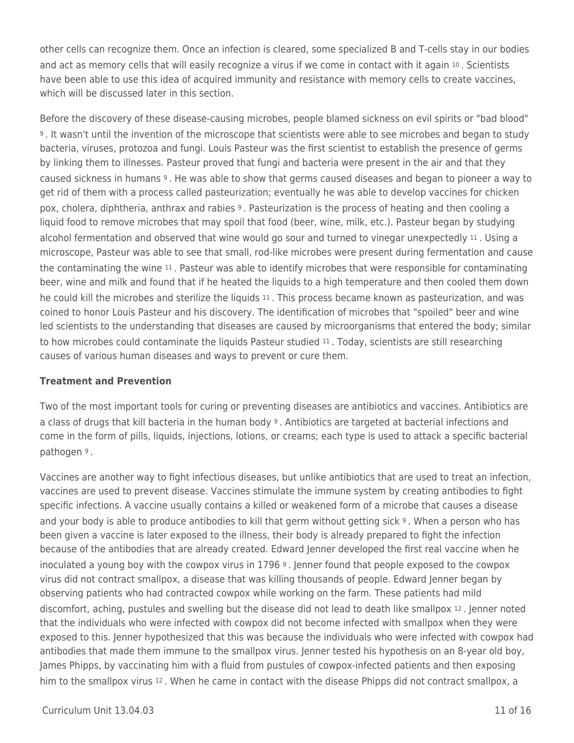other cells can recognize them. Once an infection is cleared, some specialized B and T-cells stay in our bodies and act as memory cells that will easily recognize a virus if we come in contact with it again 10. Scientists have been able to use this idea of acquired immunity and resistance with memory cells to create vaccines, which will be discussed later in this section.

Before the discovery of these disease-causing microbes, people blamed sickness on evil spirits or "bad blood" <sup>9</sup>. It wasn't until the invention of the microscope that scientists were able to see microbes and began to study bacteria, viruses, protozoa and fungi. Louis Pasteur was the first scientist to establish the presence of germs by linking them to illnesses. Pasteur proved that fungi and bacteria were present in the air and that they caused sickness in humans 9 . He was able to show that germs caused diseases and began to pioneer a way to get rid of them with a process called pasteurization; eventually he was able to develop vaccines for chicken pox, cholera, diphtheria, anthrax and rabies 9 . Pasteurization is the process of heating and then cooling a liquid food to remove microbes that may spoil that food (beer, wine, milk, etc.). Pasteur began by studying alcohol fermentation and observed that wine would go sour and turned to vinegar unexpectedly 11 . Using a microscope, Pasteur was able to see that small, rod-like microbes were present during fermentation and cause the contaminating the wine 11 . Pasteur was able to identify microbes that were responsible for contaminating beer, wine and milk and found that if he heated the liquids to a high temperature and then cooled them down he could kill the microbes and sterilize the liquids 11 . This process became known as pasteurization, and was coined to honor Louis Pasteur and his discovery. The identification of microbes that "spoiled" beer and wine led scientists to the understanding that diseases are caused by microorganisms that entered the body; similar to how microbes could contaminate the liquids Pasteur studied <sup>11</sup>. Today, scientists are still researching causes of various human diseases and ways to prevent or cure them.

### **Treatment and Prevention**

Two of the most important tools for curing or preventing diseases are antibiotics and vaccines. Antibiotics are a class of drugs that kill bacteria in the human body <sup>9</sup>. Antibiotics are targeted at bacterial infections and come in the form of pills, liquids, injections, lotions, or creams; each type is used to attack a specific bacterial pathogen 9 .

Vaccines are another way to fight infectious diseases, but unlike antibiotics that are used to treat an infection, vaccines are used to prevent disease. Vaccines stimulate the immune system by creating antibodies to fight specific infections. A vaccine usually contains a killed or weakened form of a microbe that causes a disease and your body is able to produce antibodies to kill that germ without getting sick <sup>9</sup>. When a person who has been given a vaccine is later exposed to the illness, their body is already prepared to fight the infection because of the antibodies that are already created. Edward Jenner developed the first real vaccine when he inoculated a young boy with the cowpox virus in 1796 9 . Jenner found that people exposed to the cowpox virus did not contract smallpox, a disease that was killing thousands of people. Edward Jenner began by observing patients who had contracted cowpox while working on the farm. These patients had mild discomfort, aching, pustules and swelling but the disease did not lead to death like smallpox 12 . Jenner noted that the individuals who were infected with cowpox did not become infected with smallpox when they were exposed to this. Jenner hypothesized that this was because the individuals who were infected with cowpox had antibodies that made them immune to the smallpox virus. Jenner tested his hypothesis on an 8-year old boy, James Phipps, by vaccinating him with a fluid from pustules of cowpox-infected patients and then exposing him to the smallpox virus <sup>12</sup>. When he came in contact with the disease Phipps did not contract smallpox, a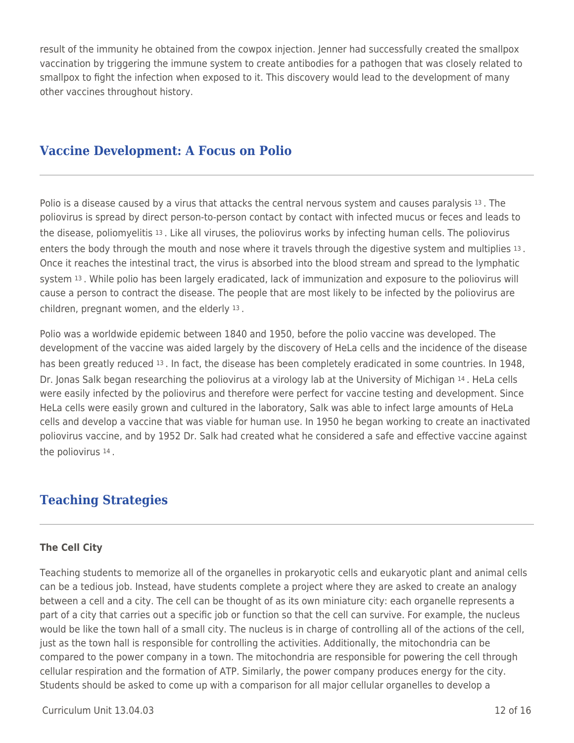result of the immunity he obtained from the cowpox injection. Jenner had successfully created the smallpox vaccination by triggering the immune system to create antibodies for a pathogen that was closely related to smallpox to fight the infection when exposed to it. This discovery would lead to the development of many other vaccines throughout history.

## **Vaccine Development: A Focus on Polio**

Polio is a disease caused by a virus that attacks the central nervous system and causes paralysis 13 . The poliovirus is spread by direct person-to-person contact by contact with infected mucus or feces and leads to the disease, poliomyelitis 13 . Like all viruses, the poliovirus works by infecting human cells. The poliovirus enters the body through the mouth and nose where it travels through the digestive system and multiplies 13 . Once it reaches the intestinal tract, the virus is absorbed into the blood stream and spread to the lymphatic system 13 . While polio has been largely eradicated, lack of immunization and exposure to the poliovirus will cause a person to contract the disease. The people that are most likely to be infected by the poliovirus are children, pregnant women, and the elderly 13 .

Polio was a worldwide epidemic between 1840 and 1950, before the polio vaccine was developed. The development of the vaccine was aided largely by the discovery of HeLa cells and the incidence of the disease has been greatly reduced 13 . In fact, the disease has been completely eradicated in some countries. In 1948, Dr. Jonas Salk began researching the poliovirus at a virology lab at the University of Michigan 14 . HeLa cells were easily infected by the poliovirus and therefore were perfect for vaccine testing and development. Since HeLa cells were easily grown and cultured in the laboratory, Salk was able to infect large amounts of HeLa cells and develop a vaccine that was viable for human use. In 1950 he began working to create an inactivated poliovirus vaccine, and by 1952 Dr. Salk had created what he considered a safe and effective vaccine against the poliovirus 14 .

# **Teaching Strategies**

### **The Cell City**

Teaching students to memorize all of the organelles in prokaryotic cells and eukaryotic plant and animal cells can be a tedious job. Instead, have students complete a project where they are asked to create an analogy between a cell and a city. The cell can be thought of as its own miniature city: each organelle represents a part of a city that carries out a specific job or function so that the cell can survive. For example, the nucleus would be like the town hall of a small city. The nucleus is in charge of controlling all of the actions of the cell, just as the town hall is responsible for controlling the activities. Additionally, the mitochondria can be compared to the power company in a town. The mitochondria are responsible for powering the cell through cellular respiration and the formation of ATP. Similarly, the power company produces energy for the city. Students should be asked to come up with a comparison for all major cellular organelles to develop a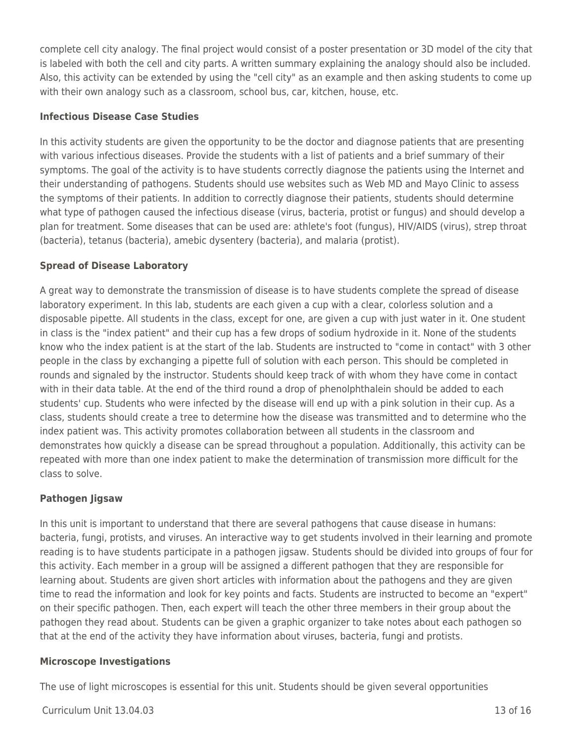complete cell city analogy. The final project would consist of a poster presentation or 3D model of the city that is labeled with both the cell and city parts. A written summary explaining the analogy should also be included. Also, this activity can be extended by using the "cell city" as an example and then asking students to come up with their own analogy such as a classroom, school bus, car, kitchen, house, etc.

### **Infectious Disease Case Studies**

In this activity students are given the opportunity to be the doctor and diagnose patients that are presenting with various infectious diseases. Provide the students with a list of patients and a brief summary of their symptoms. The goal of the activity is to have students correctly diagnose the patients using the Internet and their understanding of pathogens. Students should use websites such as Web MD and Mayo Clinic to assess the symptoms of their patients. In addition to correctly diagnose their patients, students should determine what type of pathogen caused the infectious disease (virus, bacteria, protist or fungus) and should develop a plan for treatment. Some diseases that can be used are: athlete's foot (fungus), HIV/AIDS (virus), strep throat (bacteria), tetanus (bacteria), amebic dysentery (bacteria), and malaria (protist).

### **Spread of Disease Laboratory**

A great way to demonstrate the transmission of disease is to have students complete the spread of disease laboratory experiment. In this lab, students are each given a cup with a clear, colorless solution and a disposable pipette. All students in the class, except for one, are given a cup with just water in it. One student in class is the "index patient" and their cup has a few drops of sodium hydroxide in it. None of the students know who the index patient is at the start of the lab. Students are instructed to "come in contact" with 3 other people in the class by exchanging a pipette full of solution with each person. This should be completed in rounds and signaled by the instructor. Students should keep track of with whom they have come in contact with in their data table. At the end of the third round a drop of phenolphthalein should be added to each students' cup. Students who were infected by the disease will end up with a pink solution in their cup. As a class, students should create a tree to determine how the disease was transmitted and to determine who the index patient was. This activity promotes collaboration between all students in the classroom and demonstrates how quickly a disease can be spread throughout a population. Additionally, this activity can be repeated with more than one index patient to make the determination of transmission more difficult for the class to solve.

### **Pathogen Jigsaw**

In this unit is important to understand that there are several pathogens that cause disease in humans: bacteria, fungi, protists, and viruses. An interactive way to get students involved in their learning and promote reading is to have students participate in a pathogen jigsaw. Students should be divided into groups of four for this activity. Each member in a group will be assigned a different pathogen that they are responsible for learning about. Students are given short articles with information about the pathogens and they are given time to read the information and look for key points and facts. Students are instructed to become an "expert" on their specific pathogen. Then, each expert will teach the other three members in their group about the pathogen they read about. Students can be given a graphic organizer to take notes about each pathogen so that at the end of the activity they have information about viruses, bacteria, fungi and protists.

#### **Microscope Investigations**

The use of light microscopes is essential for this unit. Students should be given several opportunities

Curriculum Unit 13.04.03 13 of 16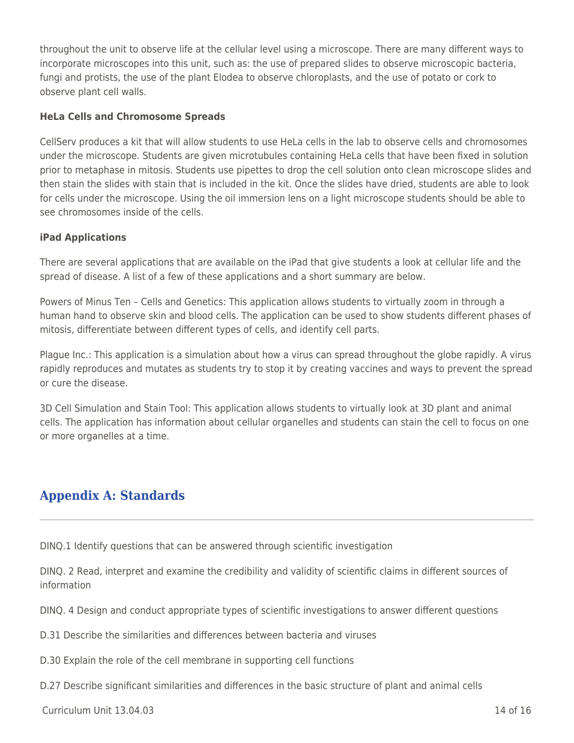throughout the unit to observe life at the cellular level using a microscope. There are many different ways to incorporate microscopes into this unit, such as: the use of prepared slides to observe microscopic bacteria, fungi and protists, the use of the plant Elodea to observe chloroplasts, and the use of potato or cork to observe plant cell walls.

### **HeLa Cells and Chromosome Spreads**

CellServ produces a kit that will allow students to use HeLa cells in the lab to observe cells and chromosomes under the microscope. Students are given microtubules containing HeLa cells that have been fixed in solution prior to metaphase in mitosis. Students use pipettes to drop the cell solution onto clean microscope slides and then stain the slides with stain that is included in the kit. Once the slides have dried, students are able to look for cells under the microscope. Using the oil immersion lens on a light microscope students should be able to see chromosomes inside of the cells.

### **iPad Applications**

There are several applications that are available on the iPad that give students a look at cellular life and the spread of disease. A list of a few of these applications and a short summary are below.

Powers of Minus Ten – Cells and Genetics: This application allows students to virtually zoom in through a human hand to observe skin and blood cells. The application can be used to show students different phases of mitosis, differentiate between different types of cells, and identify cell parts.

Plague Inc.: This application is a simulation about how a virus can spread throughout the globe rapidly. A virus rapidly reproduces and mutates as students try to stop it by creating vaccines and ways to prevent the spread or cure the disease.

3D Cell Simulation and Stain Tool: This application allows students to virtually look at 3D plant and animal cells. The application has information about cellular organelles and students can stain the cell to focus on one or more organelles at a time.

# **Appendix A: Standards**

DINQ.1 Identify questions that can be answered through scientific investigation

DINQ. 2 Read, interpret and examine the credibility and validity of scientific claims in different sources of information

DINQ. 4 Design and conduct appropriate types of scientific investigations to answer different questions

D.31 Describe the similarities and differences between bacteria and viruses

D.30 Explain the role of the cell membrane in supporting cell functions

D.27 Describe significant similarities and differences in the basic structure of plant and animal cells

Curriculum Unit 13.04.03 14 of 16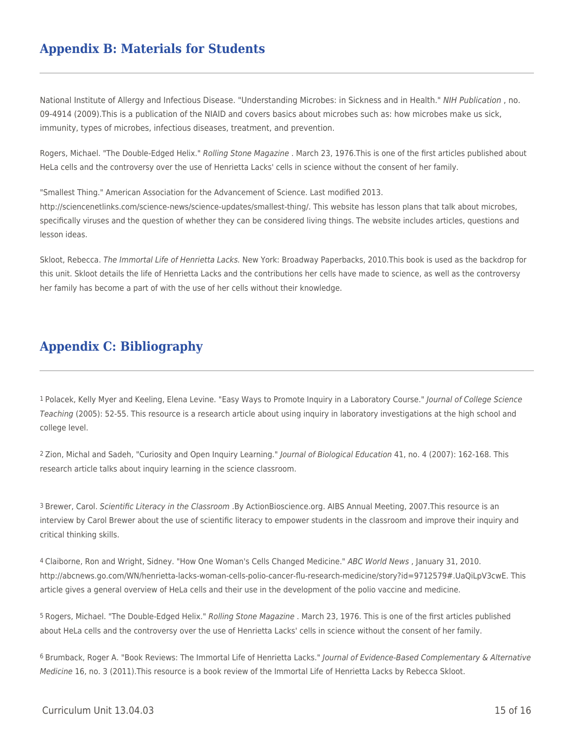## **Appendix B: Materials for Students**

National Institute of Allergy and Infectious Disease. "Understanding Microbes: in Sickness and in Health." NIH Publication , no. 09-4914 (2009).This is a publication of the NIAID and covers basics about microbes such as: how microbes make us sick, immunity, types of microbes, infectious diseases, treatment, and prevention.

Rogers, Michael. "The Double-Edged Helix." Rolling Stone Magazine . March 23, 1976. This is one of the first articles published about HeLa cells and the controversy over the use of Henrietta Lacks' cells in science without the consent of her family.

"Smallest Thing." American Association for the Advancement of Science. Last modified 2013. http://sciencenetlinks.com/science-news/science-updates/smallest-thing/. This website has lesson plans that talk about microbes, specifically viruses and the question of whether they can be considered living things. The website includes articles, questions and lesson ideas.

Skloot, Rebecca. The Immortal Life of Henrietta Lacks. New York: Broadway Paperbacks, 2010.This book is used as the backdrop for this unit. Skloot details the life of Henrietta Lacks and the contributions her cells have made to science, as well as the controversy her family has become a part of with the use of her cells without their knowledge.

### **Appendix C: Bibliography**

1 Polacek, Kelly Myer and Keeling, Elena Levine. "Easy Ways to Promote Inquiry in a Laboratory Course." Journal of College Science Teaching (2005): 52-55. This resource is a research article about using inquiry in laboratory investigations at the high school and college level.

2 Zion, Michal and Sadeh, "Curiosity and Open Inquiry Learning." Journal of Biological Education 41, no. 4 (2007): 162-168. This research article talks about inquiry learning in the science classroom.

<sup>3</sup> Brewer, Carol. Scientific Literacy in the Classroom .By ActionBioscience.org. AIBS Annual Meeting, 2007.This resource is an interview by Carol Brewer about the use of scientific literacy to empower students in the classroom and improve their inquiry and critical thinking skills.

4 Claiborne, Ron and Wright, Sidney. "How One Woman's Cells Changed Medicine." ABC World News , January 31, 2010. http://abcnews.go.com/WN/henrietta-lacks-woman-cells-polio-cancer-flu-research-medicine/story?id=9712579#.UaQiLpV3cwE. This article gives a general overview of HeLa cells and their use in the development of the polio vaccine and medicine.

5 Rogers, Michael. "The Double-Edged Helix." Rolling Stone Magazine . March 23, 1976. This is one of the first articles published about HeLa cells and the controversy over the use of Henrietta Lacks' cells in science without the consent of her family.

6 Brumback, Roger A. "Book Reviews: The Immortal Life of Henrietta Lacks." Journal of Evidence-Based Complementary & Alternative Medicine 16, no. 3 (2011).This resource is a book review of the Immortal Life of Henrietta Lacks by Rebecca Skloot.